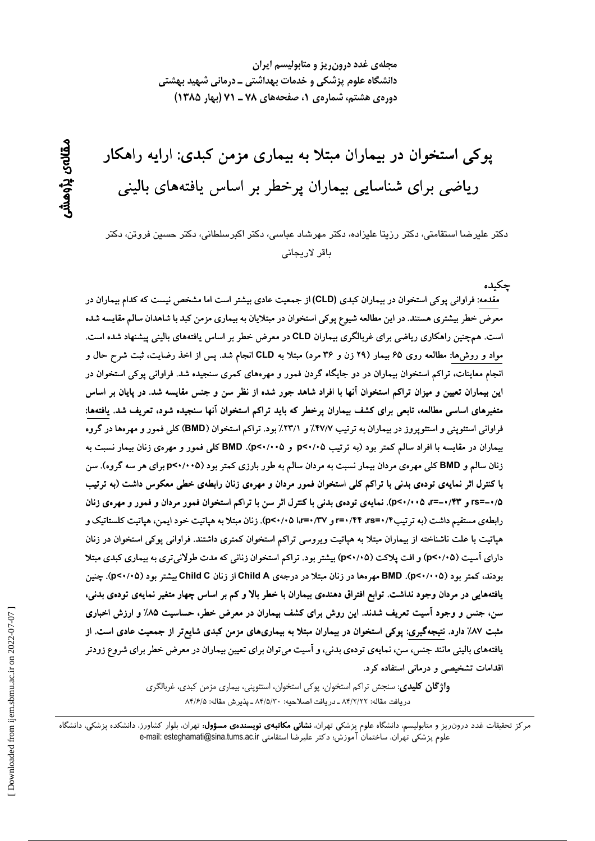مجلهی غدد درون ریز و متابولیسم ایران دانشگاه علوم پزشکی و خدمات بهداشتی ـ درمانی شهید بهشتی دوره ی هشتم، شماره ی ۱، صفحههای ۷۸ ـ ۷۱ (بهار ۱۳۸۵)

پوکی استخوان در بیماران مبتلا به بیماری مزمن کبدی: ارایه راهکار ریاضی برای شناسایی بیماران پرخطر بر اساس یافتههای بالینی

دكتر عليرضا استقامتي، دكتر رزيتا عليزاده، دكتر مهرشاد عباسي، دكتر اكبرسلطاني، دكتر حسين فروتن، دكتر باقر لاريجانى

چكىدە مقدمه: فراوانی بوکی استخوان در بیماران کبدی (CLD) از جمعیت عادی بیشتر است اما مشخص نیست که کدام بیماران در معرض خطر بیشتری هستند. در این مطالعه شیوع پوکی استخوان در مبتلایان به بیماری مزمن کبد با شاهدان سالم مقایسه شده است. همچنین راهکاری ریاضی برای غربالگری بیماران CLD در معرض خطر بر اساس یافتههای بالینی پیشنهاد شده است. مواد و روشها: مطالعه روی ۶۵ بیمار (۲۹ زن و ۳۶ مرد) مبتلا به CLD انجام شد. پس از اخذ رضایت، ثبت شرح حال و انجام معاینات، تراکم استخوان بیماران در دو جایگاه گردن فمور و مهرههای کمری سنجیده شد. فراوانی پوکی استخوان در این بیماران تعیین و میزان تراکم استخوان آنها با افراد شاهد جور شده از نظر سن و جنس مقایسه شد. در پایان بر اساس متغیرهای اساسی مطالعه، تابعی برای کشف بیماران پرخطر که باید تراکم استخوان آنها سنجیده شود، تعریف شد. یافتهها: فراوانی استئوپنی و استئوپروز در بیماران به ترتیب ۴۷/۷٪ و ۲۳/۱٪ بود. تراکم استخوان (BMD) کلی فمور و مهرهها در گروه بیماران در مقایسه با افراد سالم کمتر بود (به ترتیب p<۰/۰۵ و p<۰/۰۰۵). BMD کلی فمور و مهرهی زنان بیمار نسبت به زنان سالم و BMD کلی مهرهی مردان بیمار نسبت به مردان سالم به طور بارزی کمتر بود (p<۰/۰۰۵ برای هر سه گروه). سن با کنترل اثر نمایهی تودهی بدنی با تراکم کلی استخوان فمور مردان و مهرهی زنان رابطهی خطی معکوس داشت (به ترتیب ۰/۵–rs= و ۰/۴۳–r=، ۵×۰/۰۰). نمایهی تودهی بدنی با کنترل اثر سن با تراکم استخوان فمور مردان و فمور و مهرهی زنان رابطهی مستقیم داشت (به تر تیب۴۴/۳۵۵-۳۰/۴۴ و ۳۷/۰۲۵ (۵۲۰/۰۵). زنان مبتلا به هیاتیت خود ایمن، هیاتیت کلستاتیک و هپاتیت با علت ناشناخته از بیماران مبتلا به هپاتیت ویروسی تراکم استخوان کمتری داشتند. فراوانی پوکی استخوان در زنان دارای آسیت (p<۰/۰۵) و افت پلاکت (p<۰/۰۵) بیشتر بود. تراکم استخوان زنانی که مدت طولانی تری به بیماری کبدی مبتلا بودند، کمتر بود (p<۰/۰۰۵). BMD مهرهها در زنان مبتلا در درجهی Child A از زنان Child C بیشتر بود (p<۰/۰۵). چنین یافتههایی در مردان وجود نداشت. توابع افتراق دهندهی بیماران با خطر بالا و کم بر اساس چهار متغیر نمایهی تودهی بدنی، سن، جنس و وجود اسیت تعریف شدند. این روش برای کشف بیماران در معرض خطر، حساسیت ۸۵٪ و ارزش اخباری مثبت ۸۷٪ دارد. نتیجهگیری: پوکی استخوان در بیماران مبتلا به بیماریهای مزمن کبدی شایعتر از جمعیت عادی است. از یافتههای بالینی مانند جنس، سن، نمایهی تودهی بدنی، و آسیت میتوان برای تعیین بیماران در معرض خطر برای شروع زودتر اقدامات تشخیصی و درمانی استفاده کرد.

> **واژگان کلیدی**: سنجش تراکم استخوان، پوکی استخوان، استئوپنی، بیماری مزمن کبدی، غربالگری دريافت مقاله: ٨۴/٢/٢٢ ـ دريافت اصلاحيه: ٨۴/٥/٣٠ ـ پذيرش مقاله: ٨۴/۶/٥

مرکز تحقیقات غدد درون٫یز و متابولیسم، دانشگاه علوم پزشکی تهران، **نشانی مکاتبهی نویسندهی مسؤول:** تهران، بلوار کشاورز، دانشکده پزشکی، دانشگاه علوم يزشكي تهران، ساختمان آموزش؛ دكتر عليرضا استقامتي e-mail: esteghamati@sina.tums.ac.ir

مقالەي پڑوھىنىر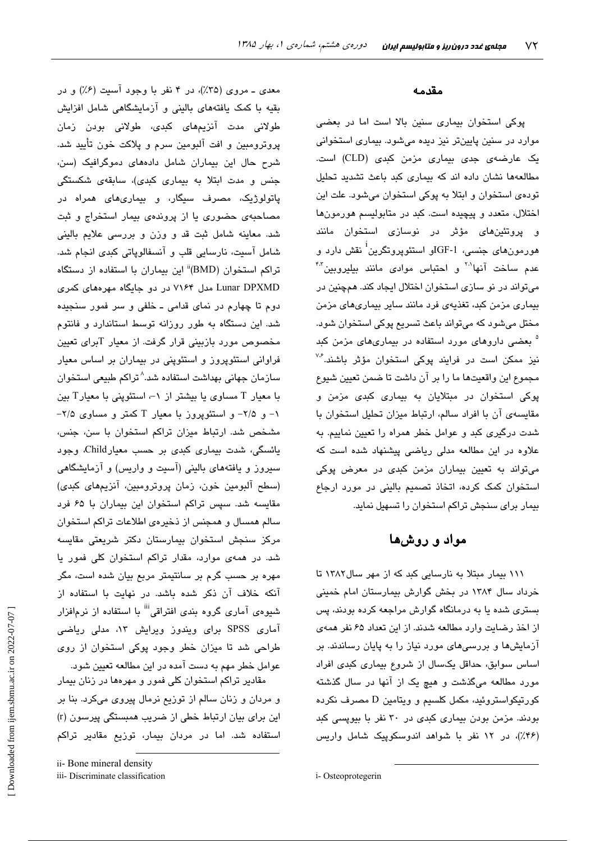معدی ــ مروی (۳۵٪)، در ۴ نفر با وجود آسیت (۶٪) و در بقیه با کمک یافتههای بالینی و آزمایشگاهی شامل افزایش طولانی مدت آنزیمهای کب*دی*، طولانی بودن زمان پروترومبین و افت آلبومین سرم و پلاکت خون تأیید شد. شرح حال این بیماران شامل دادههای دموگرافیک (سن، جنس و مدت ابتلا به بیماری کبدی)، سابقهی شکستگی پاتولوژیک، مصرف سیگار، و بیماریهای همراه در مصاحبهی حضوری یا از پروندهی بیمار استخراج و ثبت شد. معاينه شامل ثبت قد و وزن و بررسی علايم بالينی شامل آسیت، نارسایی قلب و آنسفالوپاتی کبدی انجام شد. تراکم استخوان (BMD)<sup>ii</sup> این بیماران با استفاده از دستگاه Lunar DPXMD مدل ۷۱۶۴ در دو جایگاه مهرههای کمری دوم تا چهارم در نمای قدامی ـ خلفی و سر فمور سنجیده شد. این دستگاه به طور روزانه توسط استاندارد و فانتوم مخصوص مورد بازبینی قرار گرفت. از معیار Tبرای تعیین فراوانی استئوپروز و استئوپنی در بیماران بر اساس معیار سازمان جهانی بهداشت استفاده شد.^تراکم طبیعی استخوان با معیار T مساوی یا بیشتر از ۱–، استئوینی با معیارT بین ۰۱ و ۲/۵- و استئویروز با معبار T کمتر و مساوی ۲/۵-مشخص شد. ارتباط میزان تراکم استخوان با سن، جنس، یائسگی، شدت بیماری کبدی بر حسب معیارChild، وجود سپرورز و پافتههای بالینی (آسیت و واریس) و آزمایشگاهی (سطح آلبومین خون، زمان پروترومبین، آنزیمهای کبدی) مقایسه شد. سیس تراکم استخوان این بیماران با ۶۵ فرد سالم همسال و همجنس از ذخیرهی اطلاعات تراکم استخوان مرکز سنجش استخوان بیمارستان دکتر شریعتی مقایسه شد. در همهی موارد، مقدار تراکم استخوان کلی فمور یا مهره بر حسب گرم بر سانتیمتر مربع بیان شده است، مگر آنکه خلاف آن ذکر شده باشد. در نهایت با استفاده از شیوهی آماری گروه بندی افتراقی<sup>iii</sup> با استفاده از نرمافزار آماری SPSS برای ویندوز ویرایش ۱۳، مدلی ریاضی طراحی شد تا میزان خطر وجود پوکی استخوان از روی عوامل خطر مهم به دست آمده در این مطالعه تعیین شود.

مقادیر تراکم استخوان کلی فمور و مهرهها در زنان بیمار و مردان و زنان سالم از توزیع نرمال پیروی میکرد. بنا بر این برای بیان ارتباط خطی از ضریب همبستگی پیرسون (r) استفاده شد. اما در مردان بیمار، توزیع مقادیر تراکم

#### مقدمه

پوکی استخوان بیماری سنین بالا است اما در بعضی موارد در سنین پایینتر نیز دیده میشود. بیماری استخوانی یک عارضهی جدی بیماری مزمن کبدی (CLD) است. مطالعهها نشان داده اند که بیماری کبد باعث تشدید تحلیل تودهی استخوان و ابتلا به پوکی استخوان میشود. علت این اختلال، متعدد و پیچیده است. کبد در متابولیسم هورمونها و پروتئینهای مؤثر در نوسازی استخوان مانند هورمونهای جنسی، IGF-1و استئویروتگرین<sup>1</sup> نقش دارد و عدم ساخت آنها<sup>۲۰</sup> و احتباس موادی مانند بیلیروبین<sup>۴۰</sup> میتواند در نو سازی استخوان اختلال ایجاد کند. همچنین در بیماری مزمن کبد، تغذیهی فرد مانند سایر بیماریهای مزمن مختل میشود که میتواند باعث تسریع پوکی استخوان شود. <sup>۵</sup> بعضی داروهای مورد استفاده در بیماریهای مزمن کبد نیز ممکن است در فرایند پوکی استخوان مؤثر باشند.<sup>۳۶</sup> مجموع اين واقعيتها ما را بر آن داشت تا ضمن تعيين شيوع یوکی استخوان در مبتلایان به بیماری کبدی مزمن و مقایسه ی آن با افراد سالم، ارتباط میزان تحلیل استخوان با شدت درگیری کبد و عوامل خطر همراه را تعیین نماییم. به علاوه در این مطالعه مدلی ریاضی پیشنهاد شده است که میتواند به تعیین بیماران مزمن کبدی در معرض پوکی استخوان کمک کرده، اتخاذ تصمیم بالینی در مورد ارجاع بیمار برای سنجش تراکم استخوان را تسهیل نماید.

# مواد و روشها

۱۱۱ بیمار مبتلا به نارسایی کبد که از مهر سال۱۳۸۲ تا خرداد سال ۱۳۸۴ در بخش گوارش بیمارستان امام خمینی بستری شده یا به درمانگاه گوارش مراجعه کرده بودند، پس از اخذ رضایت وارد مطالعه شدند. از این تعداد ۶۵ نفر همهی آزمایشها و بررسیهای مورد نیاز را به پایان رساندند. بر اساس سوابق، حداقل یکسال از شروع بیماری کبدی افراد مورد مطالعه میگذشت و هیچ یک از آنها در سال گذشته كورتيكواستروئيد، مكمل كلسيم و ويتامين D مصرف نكرده بودند. مزمن بودن بیماری کبدی در ۳۰ نفر با بیوپسی کبد (۴۶٪)، در ۱۲ نفر با شواهد اندوسکوپیک شامل واریس

ii- Bone mineral density

iii- Discriminate classification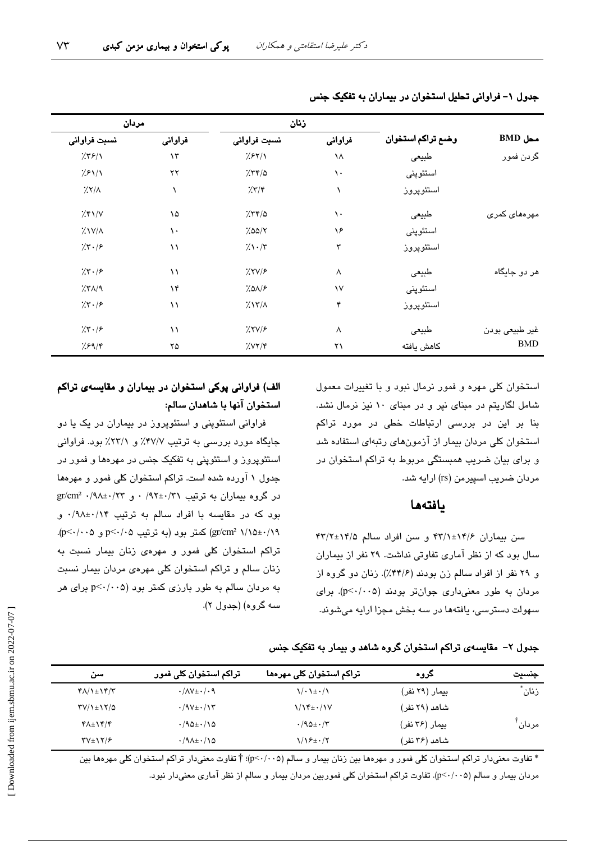|                              |                   | زنان                    |            | مردان                  |                             |
|------------------------------|-------------------|-------------------------|------------|------------------------|-----------------------------|
| $BMD$ محل                    | وضع تراكم استخوان | فراواني<br>نسبت فراواني |            | فراواني                | نسبت فراواني                |
| گردن فمور                    | طبيعى             | ١٨                      | 7.87/1     | $\lambda \tau$         | 7.79/1                      |
|                              | استئوپنى          | ١.                      | 7.77/a     | $\mathsf{Y}\mathsf{Y}$ | 7.81/1                      |
|                              | استئوپروز         |                         | 7.77       |                        | $\frac{1}{2}$               |
| مهرههای کمری                 | طبيعى             | ١.                      | 7.55/2     | ۱۵                     | $\frac{1}{2}$ $\frac{1}{2}$ |
|                              | استئوپنى          | ۱۶                      | 7.00/7     | $\mathcal{L}$          | $\frac{1}{2}$ $\frac{1}{2}$ |
|                              | استئوپروز         | ٣                       | $7.1 - 77$ | ۱۱                     | 7.5.7                       |
| هر دو جايگاه                 | طبيعى             | ٨                       | 7.7V/F     | $\setminus$            | 7.5.78                      |
|                              | استئوپنى          | $\mathcal{N}$           | 7.019      | $\lambda$ ۴            | 7.71/9                      |
|                              | استئوپروز         | ۴                       | 7.17/A     | ۱۱                     | 7.7.7                       |
| غیر طبیعی بودن<br><b>BMD</b> | طبيعى             | ٨                       | 7.719      | $\setminus$            | 7.7.7                       |
|                              | كاهش يافته        | ۲۱                      | 7.007/9    | ۲۵                     | 7.89/8                      |

جدول ۱- فراوانی تحلیل استخوان در بیماران به تفکیک جنس

استخوان کلی مهره و فمور نرمال نبود و با تغییرات معمول شامل لگاریتم در مبنای نیر و در مبنای ۱۰ نیز نرمال نشد. بنا بر این در بررسی ارتباطات خطی در مورد تراکم استخوان کلی مردان بیمار از آزمونهای رتبهای استفاده شد و برای بیان ضریب همبستگی مربوط به تراکم استخوان در مردان ضریب اسپیرمن (rs) ارایه شد.

## يافتهها

سن بیماران ۶/۶/۱±۱۴/۱ و سن افراد سالم ۱۴/۸±۱۴/۲ سال بود که از نظر آماری تفاوتی نداشت. ۲۹ نفر از بیماران و ٢٩ نفر از افراد سالم زن بودند (٣٢/۶٪). زنان دو گروه از مردان به طور معنیداری جوانتر بودند (p<٠/٠٠۵). برای سبهولت دسترسی، یافتهها در سه بخش مجزا ارایه میشوند.

# الف) فراوانی پوکی استخوان در بیماران و مقایسهی تراکم استخوان آنها با شاهدان سالم:

فراوانی استئوپنی و استئوپروز در بیماران در یک یا دو جایگاه مورد بررسی به ترتیب ۴۷/۷٪ و ۲۳/۱٪ بود. فراوانی استئوپروز و استئوپنی به تفکیک جنس در مهرهها و فمور در جدول ۱ آورده شده است. تراکم استخوان کلی فمور و مهرهها  $gr/cm^2$  ۰/۹۸±۰/۲۲ و  $r \times 1$ ۰/۹۲±۰/۳۱ و  $gr/cm^2$ ۰/۹۸±۰/۲۳ بود که در مقایسه با افراد سالم به ترتیب ۰/۹۸±۰/۱۴ و \gr/cm2 ١/١٥±٠/١٩) كمتر بود (به ترتيب 2٠/٠٥ و p<٠/٠٥). تراکم استخوان کلی فمور و مهرهی زنان بیمار نسبت به زنان سالم و تراکم استخوان کلی مهرهی مردان بیمار نسبت به مردان سالم به طور بارزی کمتر بود (p<٠/٠٥ برای هر سه گروه) (جدول ۲).

جدول ۲– مقایسهی تراکم استخوان گروه شاهد و بیمار به تفکیک جنس

| سن                                            | تراکم استخوان کلی فمور                 | تراکم استخوان کلی مهرهها         | کروہ           | جنسيت              |
|-----------------------------------------------|----------------------------------------|----------------------------------|----------------|--------------------|
| $Y/\lambda + Y'$                              | $\cdot/\Lambda V \pm \cdot/\cdot \eta$ | $\binom{1}{1}$ . $\frac{1}{2}$ . | بیمار (۲۹ نفر) | زنان               |
| $\Upsilon V/\Upsilon$ + $\Upsilon$ / $\Delta$ | $\cdot$ /9 $V \pm \cdot / 17$          | $1/\sqrt{t}$ + $\cdot$ /1V       | شاهد (۲۹ نفر)  |                    |
| $\mathbf{Y} \wedge \pm \mathbf{Y} \mathbf{Y}$ | $\cdot$ /90 $\pm$ $\cdot$ /90          | $\cdot$ /90 $\pm$ $\cdot$ /۳     | بیمار (۳۶ نفر) | مردان <sup>⊺</sup> |
| $\Upsilon V \pm \Upsilon / 5$                 | $\cdot$ /9 $\lambda$ ± $\cdot$ /10     | $1/19 \pm 1/7$                   | شاهد (۲۶ نفر)  |                    |

\* تفاوت معنیدار تراکم استخوان کلی فمور و مهرهها بین زنان بیمار و سالم (p<٠/٠٥)؛ † تفاوت معنیدار تراکم استخوان کلی مهرهها بین مردان بیمار و سالم (p<۰/۰۰۵). تفاوت تراکم استخوان کلی فموربین مردان بیمار و سالم از نظر آماری معنیدار نبود.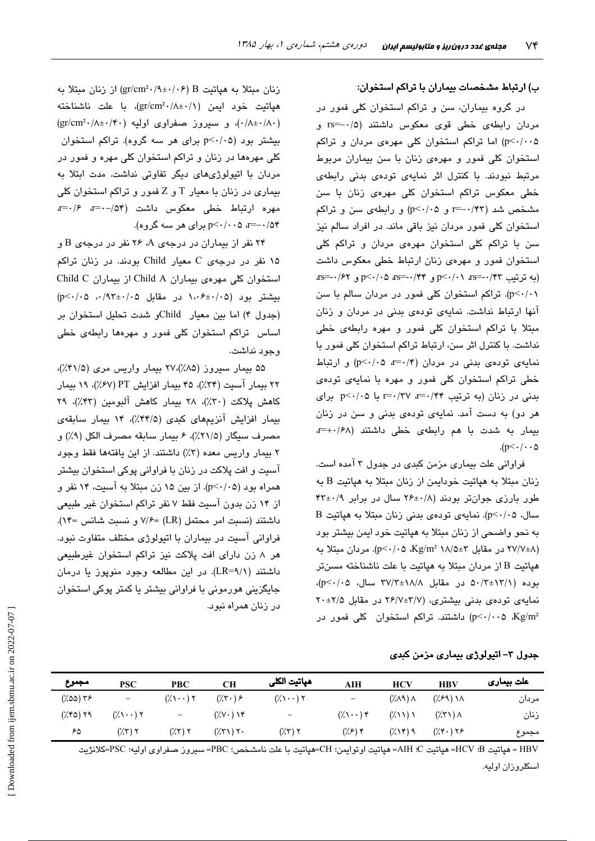## ب) ارتباط مشخصات بیماران با تراکم استخوان:

در گروه بیماران، سن و تراکم استخوان کلی فمور در مردان رابطهی خطی قوی معکوس داشتند (۰/۵-=rs و p<۰/۰۰۵) اما تراکم استخوان کلی مهرهی مردان و تراکم استخوان کلی فمور و مهرهی زنان با سن بیماران مربوط مرتبط نبودند. با کنترل اثر نمایهی تودهی بدنی رابطهی خطی معکوس تراکم استخوان کلی مهرهی زنان با سن مشخص شد (٣٣/٠-=r و p<٠/٠۵) و رابطهى سن و تراكم استخوان کلی فمور مردان نیز باقی ماند. در افراد سالم نیز سن با تراکم کلی استخوان مهرهی مردان و تراکم کلی استخوان فمور و مهرهی زنان ارتباط خطی معکوس داشت (به ترتیب ۲۳/۰-≕rs=۰/۴۲ و ۲۴/۰+=rs=۰/۶۲ و ۲۶/۰\۰=rs p<۰/۰۱). تراکم استخوان کلی فمور در مردان سالم با سن آنها ارتباط نداشت. نمایهی تودهی بدنی در مردان و زنان مبتلا با تراکم استخوان کلی فمور و مهره رابطهی خطی نداشت. با کنترل اثر سن، ارتباط تراکم استخوان کلی فمور با نمایهی تودهی بدنی در مردان (۴/۰=a p<۰/۰۵) و ارتباط خطی تراکم استخوان کلی فمور و مهره با نمایهی تودهی بدنی در زنان (به ترتیب ۰/۴۴ r=۰/۳۷ با ۰۵/۰۵p<۰/۰۵ برای هر دو) به دست آمد. نمایهی تودهی بدنی و سن در زنان بیمار به شدت با هم رابطهی خطی داشتند (x=+./۶۸  $(p<\cdot/\cdot \cdot \Delta)$ 

فراوانی علت بیماری مزمن کبدی در جدول ۳ آمده است. زنان مبتلا به هیاتیت خودایمن از زنان مبتلا به هیاتیت B به طور بارزی جوانتر بودند (۶/ ۲۶±۲۶ سال در برابر ۴۲±۴۳ سال، p<٠/٠۵). نمایهی تودهی بدنی زنان مبتلا به هپاتیت B به نحو واضحی از زنان مبتلا به هیاتیت خود ایمن بیشتر بود (۲۷/۷±۸ در مقابل ۳±۱۸/۵ Kg/m (p<۰/۰۵ Kg). مردان مبتلا به هپاتیت B از مردان مبتلا به هپاتیت با علت ناشناخته مسنتر بوده (۵۰/۳±۱۲/۱ در مقابل ۱۸/۸±۳۷/۳ سال، p<۰/۰۵)، نمایهی تودهی بدنی بیشتری، (٢/٧±٣/٧ در مقابل ٢٠±٢٧ اشتند. تراکم استخوان کلی فمور در (p<٠/٠٠۵ Kg/m<sup>2</sup>

زنان مبتلا به هپاتیت gr/cm<sup>2</sup>۰/۹±۰/۰۶) از زنان مبتلا به هياتيت خود ايمن (gr/cm<sup>2</sup>·/A±·/)، با علت ناشناخته  $(\text{gr/cm}^2\cdot/\wedge\pm\cdot/\mathfrak{k}\cdot)$  و سیروز صفراوی اولیه (۱۴۰ $(\wedge\pm\cdot/\wedge\cdot)$ بیشتر بود (p<۰/۰۵ برای هر سه گروه). تراکم استخوان کلی مهرهها در زنان و تراکم استخوان کلی مهره و فمور در مردان با اتیولوژیهای دیگر تفاوتی نداشت. مدت ابتلا به بیماری در زنان با معیار T و Z فمور و تراکم استخوان کلی مهره ارتباط خطى معكوس داشت (٥۴- - = = = = = ۰/۵۴–=a ۰/۰۰>p برای هر سه گروه).

۲۴ نفر از بیماران در درجهی A، ۲۶ نفر در درجهی B و ۱۵ نفر در درجهی C معیار Child بودند. در زنان تراکم استخوان کلی مهروی بیماران Child A از بیماران Child C  $(p<\cdot/\cdot 0 \cdot \cdot/9)$  دسشتر بود (۰۵ $\cdot\cdot\cdot\in\mathbb{R}$  در مقابل ۱،۰۶ (جدول ۴) اما بين معيار - Childو شدت تحليل استخوان بن اساس تراکم استخوان کلی فمور و مهرهها رابطهی خطی وحود نداشت.

۵۵ بیمار سپروز (۸۵٪)،۲۷ بیمار واریس مری (۴۱/۵٪)، ۲۲ بیمار آسیت (۳۴٪)، ۴۵ بیمار افزایش PT (۶۷٪)، ۱۹ بیمار كاهش يلاكت (٣٠٪)، ٢٨ بيمار كاهش آلبومين (٣٣٪)، ٢٩ بیمار افزایش آنزیمهای کبدی (۳۴/۵٪)، ۱۴ بیمار سابقهی مصرف سيگار (٢١/٥٪)، ۶ بيمار سابقه مصرف الكل (٩٪) و ٢ بيمار واريس معده (٣٪) داشتند. از اين يافتهها فقط وجود آسیت و افت پلاکت در زنان با فراوانی پوکی استخوان بیشتر همراه بود (p<-/·۵). از بین ۱۵ زن مبتلا به آسیت، ۱۴ نفر و از ۱۴ زن بدون آسیت فقط ۷ نفر تراکم استخوان غیر طبیعی داشتند (نسبت امر محتمل (LR) =۷/۶ و نسبت شانس =۱۴). فراوانی آسیت در بیماران با اتیولوژی مختلف متفاوت نبود. هر ۸ زن دارای افت پلاکت نیز تراکم استخوان غیرطبیعی داشتند (LR=۹/۱). در این مطالعه وجود منوپوز یا درمان جایگزینی هورمونی با فراوانی بیشتر یا کمتر پوکی استخوان در زنان همراه نبود.

جدول ۳– اتیولوژی بیماری مزمن کبدی

| مجموع          | <b>PSC</b>                                  | <b>PBC</b>                                  | CН                                         | هپاتيت الكلى                                | <b>AIH</b>                          | <b>HCV</b>                        | <b>HBV</b>                         | علت بیماری |
|----------------|---------------------------------------------|---------------------------------------------|--------------------------------------------|---------------------------------------------|-------------------------------------|-----------------------------------|------------------------------------|------------|
| $(7.00)$ $Y$ ۶ | $\overline{\phantom{a}}$                    | $(\lambda \setminus \cdot \cdot)$ $\lambda$ | $(\mathcal{X}, \mathcal{Y})$ $\mathcal{F}$ | $(\lambda \setminus \cdot \cdot)$ $\lambda$ | $\overline{\phantom{m}}$            | $(\lambda \wedge \Lambda) \wedge$ | $(\frac{1}{2})$ ) $\lambda$        | مردان      |
| $(\%$ ۴۵) ۲۹   | $(\lambda \setminus \cdot \cdot)$ $\lambda$ | $\equiv$                                    | $(\sqrt{2}V \cdot ) V^*$                   | $\equiv$                                    | $(\lambda \setminus \cdot \cdot)$ ۴ | $(\lambda \setminus \setminus)$   | $(\lambda \uparrow \wedge) \wedge$ | زنان       |
| ۶۵             | $(\mathcal{X}, \mathcal{Y})$ $\mathcal{Y}$  | $(\mathcal{X}, \mathcal{Y})$ $\mathcal{Y}$  | $(\sqrt{25})$ $\sqrt{25}$                  | $(\mathcal{X}, \mathcal{Y})$ $\mathcal{Y}$  | $(\lambda,\epsilon)$ ۴              | $(\frac{1}{2})$ ( $\frac{1}{2}$   | $(\mathcal{H} \cdot)$ ۲۶           | مجموع      |

HBV = هياتيت B: HCV= هياتيت AIH = هياتيت اوتوابمن؛ CH=هياتيت با علت نامشخص؛ PBC= سيروز صفراوي اوليه؛ PSC=كلانژيت اسكلروزان اوليه.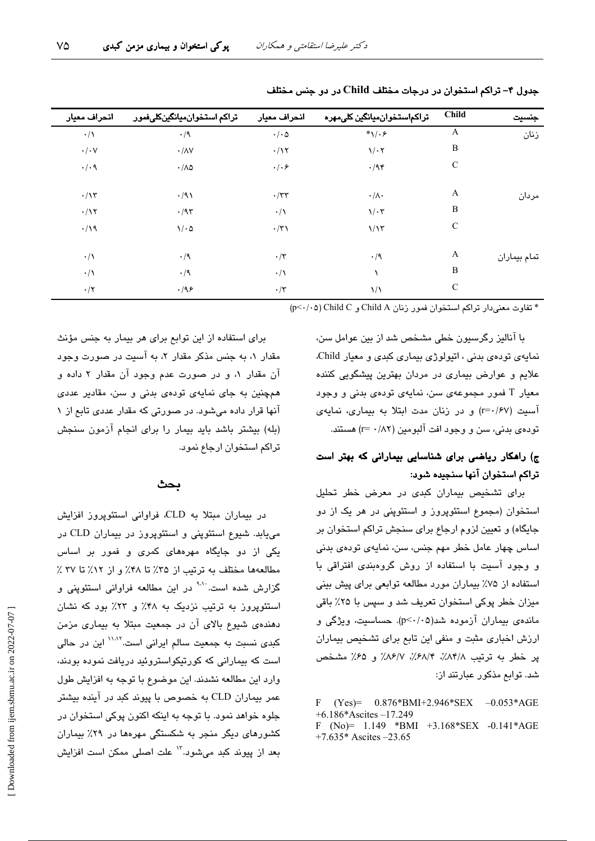| جنسيت        | <b>Child</b>  | تراكماستخوان ميانگين كلى مهر ه | انحراف معيار    | تراكم استخوان ميانگينكلىفمور | انحراف معيار         |
|--------------|---------------|--------------------------------|-----------------|------------------------------|----------------------|
| زنان         | A             | $*\sqrt{.}$                    | $\cdot/\cdot$ ۵ | $\cdot/9$                    | $\cdot/\wedge$       |
|              | B             | $\sqrt{\cdot 7}$               | $\cdot/\gamma$  | $\cdot/\lambda V$            | $\cdot/\cdot$ $\vee$ |
|              | $\mathsf{C}$  | $\cdot$ /94                    | $\cdot/\cdot$ ۶ | $\cdot/\lambda\varphi$       | $\cdot/\cdot$ ٩      |
| مردان        | A             | $\cdot/\wedge\cdot$            | $\cdot$ /٣٣     | $\cdot$ /9)                  | $\cdot/\gamma$       |
|              | B             | $1/\cdot 7$                    | $\cdot/\wedge$  | $\cdot$ /95                  | $\cdot/\gamma$       |
|              | $\mathcal{C}$ | 1/15                           | $\cdot/\tau$    | $\sqrt{6}$                   | $\cdot/\gamma$       |
| تمام بيماران | A             | $\cdot/9$                      | $\cdot/\tau$    | $\cdot/9$                    | $\cdot/\wedge$       |
|              | B             |                                | $\cdot/\lambda$ | $\cdot/9$                    | $\cdot/\wedge$       |
|              | $\mathcal{C}$ | $\frac{1}{2}$                  | $\cdot/\tau$    | .199                         | $\cdot/\tau$         |
|              |               |                                |                 |                              |                      |

جدول ۴- تراکم استخوان در درجات مختلف Child در دو جنس مختلف

\* تفاوت معنى دار تراكم استخوان فمور زنان Child A و P<٠/٠٥) Child C

با آنالیز رگرسیون خطی مشخص شد از بین عوامل سن، نمایهی تودهی بدنی ، اتیولوژی بیماری کبدی و معیار Child. علایم و عوارض بیماری در مردان بهترین پیشگویی کننده معیار T فمور مجموعهی سن، نمایهی تودهی بدنی و وجود آسیت (r=۰/۶۷) و در زنان مدت ابتلا به بیماری، نمایهی تو دوي بدني، سن و وجود افت آلبومين (٢٨٢ - r=) هستند.

# ج) راهکار ریاضی برای شناسایی بیمارانی که بهتر است تراكم استخوان آنها سنجيده شود:

برای تشخیص بیماران کبدی در معرض خطر تحلیل استخوان (مجموع استئوپروز و استئوپنی در هر یک از دو جایگاه) و تعیین لزوم ارجاع برای سنجش تراکم استخوان بر اساس چهار عامل خطر مهم جنس، سن، نمایهی تودهی بدنی و وجود آسیت با استفاده از روش گروهبندی افتراقی با استفاده از ۷۵٪ بیماران مورد مطالعه توابعی برای پیش بینی میزان خطر پوکی استخوان تعریف شد و سپس با ۲۵٪ باقی ماندهی بیماران آزموده شد(p<۰/۰۵). حساسیت، ویژگی و ارزش اخباری مثبت و منفی این تابع برای تشخیص بیماران پر خطر به ترتیب ٨٣/٨٪، ٣٨/٢٪، ٨۶/٧٪ و ۶۵٪ مشخص شد. توابع مذکور عبارتند از:

 $\mathbf{F}$  $(Yes) = 0.876*BMI+2.946*SEX -0.053*AGE$  $+6.186*Ascites -17.249$ F (No)=  $1.149$  \*BMI +3.168\*SEX -0.141\*AGE +7.635\* Ascites  $-23.65$ 

برای استفاده از این توابع برای هر بیمار به جنس مؤنث مقدار ۱، به جنس مذکر مقدار ۲، به آسیت در صورت وجود آن مقدار ۱، و در صورت عدم وجود آن مقدار ۲ داده و همچنین به جای نمایهی تودهی بدنی و سن، مقادیر عددی آنها قرار داده میشود. در صورتی که مقدار عددی تابع از ۱ (بله) بیشتر باشد باید بیمار را برای انجام آزمون سنجش تراكم استخوان ارجاع نمود.

#### بحث

در بیماران مبتلا به CLD، فراوانی استئوپروز افزایش می یابد. شیوع استئوپنی و استئوپروز در بیماران CLD در یکی از دو جایگاه مهرههای کمری و فمور بر اساس مطالعهها مختلف به ترتیب از ۳۵٪ تا ۴۸٪ و از ۱۲٪ تا ۳۷ ٪ گزارش شده است<sup>. ۱۰۱</sup> در این مطالعه فراوانی استئوپنی و استئویروز به ترتیب نزدیک به ۴۸٪ و ۲۳٪ بود که نشان دهندهی شیوع بالای آن در جمعیت مبتلا به بیماری مزمن کبدی نسبت به جمعیت سالم ایرانی است.<sup>۱۱٬۱۲</sup> این در حالی است که بیمارانی که کورتیکواستروئید دریافت نموده بودند، وارد این مطالعه نشدند. این موضوع با توجه به افزایش طول عمر بیماران CLD به خصوص با پیوند کبد در آینده بیشتر جلوه خواهد نمود. با توجه به اینکه اکنون پوکی استخوان در کشورهای دیگر منجر به شکستگی مهرهها در ۲۹٪ بیماران بعد از پیوند کبد میشود."' علت اصلی ممکن است افزایش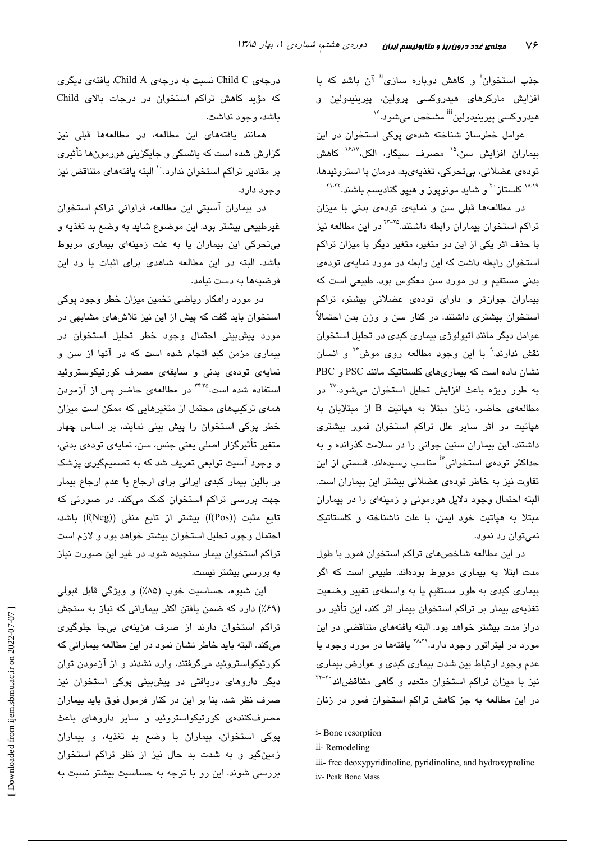جذب استخوان<sup>:</sup> و کاهش دوباره سازی<sup>!!</sup> آن باشد که با افزایش مارکرها*ی ه*یدروکسی پرولین، پیرینیدولین و هيدروکسي پيرينيدولين<sup>iii</sup> مشخص مي،شود.<sup>۱۴</sup>

عوامل خطرساز شناخته شدهی پوکی استخوان در این بیماران افزایش سن،<sup>۱۵</sup> مصرف سبگار، الکل،۱<sup>۶٬۱۷</sup> کاهش تودەي عضلانى، بىتحركى، تغذيەيىد، درمان با استروئيدها، <sup>۱۸۸۹</sup> کلستاز <sup>۲۰</sup> و شاید مونویوز و هییو گنادیسم باشند.<sup>۲۱٬۲۲</sup>

در مطالعهها قبلی سن و نمایهی تودهی بدنی با میزان تراکم استخوان بیماران رابطه داشتند.<sup>۲۲-۲۵</sup> در این مطالعه نیز با حذف اثر یکی از این دو متغیر، متغیر دیگر با میزان تراکم استخوان رابطه داشت که این رابطه در مورد نمایهی تودهی بدنی مستقیم و در مورد سن معکوس بود. طبیعی است که بیماران جوانتر و دارای تودهی عضلانی بیشتر، تراکم استخوان بیشتری داشتند. در کنار سن و وزن بدن احتمالاً عوامل دیگر مانند اتبولوژی بیماری کندی در تحلیل استخوان نقش ندارند.<sup>۹</sup> با این وجود مطالعه روی موش<sup>۲۶</sup> و انسان نشان داده است که بیماریهای کلستاتیک مانند PSC و PBC به طور ویژه باعث افزایش تحلیل استخوان میشود.<sup>۲۷</sup> در مطالعهى حاضر، زنان مبتلا به هياتيت B از مبتلايان به هپاتیت در اثر سایر علل تراکم استخوان فمور بیشتری داشتند. این بیماران سنین جوانی را در سلامت گذرانده و به حداکثر تودهی استخوانی<sup>i٬</sup> مناسب رسیدهاند. قسمتی از این تفاوت نیز به خاطر تودهی عضلانی بیشتر این بیماران است. البته احتمال وجود دلایل هورمونی و زمینهای را در بیماران مبتلا به هیاتیت خود ایمن، با علت ناشناخته و کلستاتیک نمی توان رد نمود.

در این مطالعه شاخصهای تراکم استخوان فمور با طول مدت ابتلا به بیماری مربوط بودهاند. طبیعی است که اگر بیماری کبدی به طور مستقیم یا به واسطهی تغییر وضعیت تغذیهی بیمار بر تراکم استخوان بیمار اثر کند، این تأثیر در دراز مدت بیشتر خواهد بود. البته یافتههای متناقضی در این مورد در لیتراتور وجود دارد.<sup>۲۸،۲۹</sup> یافتهها در مورد وجود یا عدم وجود ارتباط بین شدت بیماری کبدی و عوارض بیماری نیز با میزان تراکم استخوان متعدد و گاهی متناقضاند<sup>۳۲-۳۰</sup> در این مطالعه به جز کاهش تراکم استخوان فمور در زنان

درجەي Child C نسىت بە درجەي Child A، يافتەي دېگرى که مؤید کاهش تراکم استخوان در درجات بالای Child باشد، وجود نداشت.

همانند یافتههای این مطالعه، در مطالعهها قبلی نیز گزارش شده است که پائسگی و جایگزینی هورمونها تأثیری بر مقادير تراكم استخوان ندارد. `` البته يافتههاى متناقض نيز وجود دارد.

در بیماران آسیتی این مطالعه، فراوانی تراکم استخوان غیرطبیعی بیشتر بود. این موضوع شاید به وضع بد تغذیه و بی تحرکی این بیماران یا به علت زمینهای بیماری مربوط باشد. البته در این مطالعه شاهدی برای اثبات یا رد این فرضيهها به دست نيامد.

در مورد راهکار ریاضی تخمین میزان خطر وجود پوکی استخوان باید گفت که پیش از این نیز تلاش های مشابهی در مورد پیشبینی احتمال وجود خطر تحلیل استخوان در بیماری مزمن کبد انجام شده است که در آنها از سن و نمایەی تودەی بدنی و سابقەی مصرف كورتیكوستروئید استفاده شده است.<sup>۳۴٬۳۵</sup> در مطالعهی حاضر پس از آزمودن همهی ترکیبهای محتمل از متغیرهایی که ممکن است میزان خطر پوکی استخوان را پیش بینی نمایند، بر اساس چهار متغیر تأثیرگزار اصلی بعنی چنس، سن، نمایهی تودهی بدنی، و وجود آسیت توابعی تعریف شد که به تصمیمگیری پزشک بر بالين بيمار كبدى ايرانى براى ارجاع يا عدم ارجاع بيمار جهت بررسی تراکم استخوان کمک میکند. در صورتی که تابع مثبت ((f(Pos) بیشتر از تابع منفی ((f(Neg) باشد، احتمال وجود تحلیل استخوان بیشتر خواهد بود و لازم است تراکم استخوان بیمار سنجیده شود. در غیر این صورت نیاز به بررسی بیشتر نیست.

اين شيوه، حساسيت خوب (٨۵٪) و ويژگي قابل قبولي (۶۹٪) دارد که ضمن یافتن اکثر بیمارانی که نیاز به سنجش تراکم استخوان دارند از صرف هزینهی بیجا جلوگیری میکند. البته باید خاطر نشان نمود در این مطالعه بیمارانی که کورتیکواستروئید میگرفتند، وارد نشدند و از آزمودن توان دیگر داروها*ی* دریافتی در پیشبینی پوکی استخوان نیز صرف نظر شد. بنا بر این در کنار فرمول فوق باید بیماران مصرفکنندهی کورتیکواستروئید و سایر داروهای باعث پوکی استخوان، بیماران با وضع بد تغذیه، و بیماران زمینگیر و به شدت بد حال نیز از نظر تراکم استخوان بررسی شوند. این رو با توجه به حساسیت بیشتر نسبت به

i-Bone resorption

ii-Remodeling

iii- free deoxypyridinoline, pyridinoline, and hydroxyproline iv- Peak Bone Mass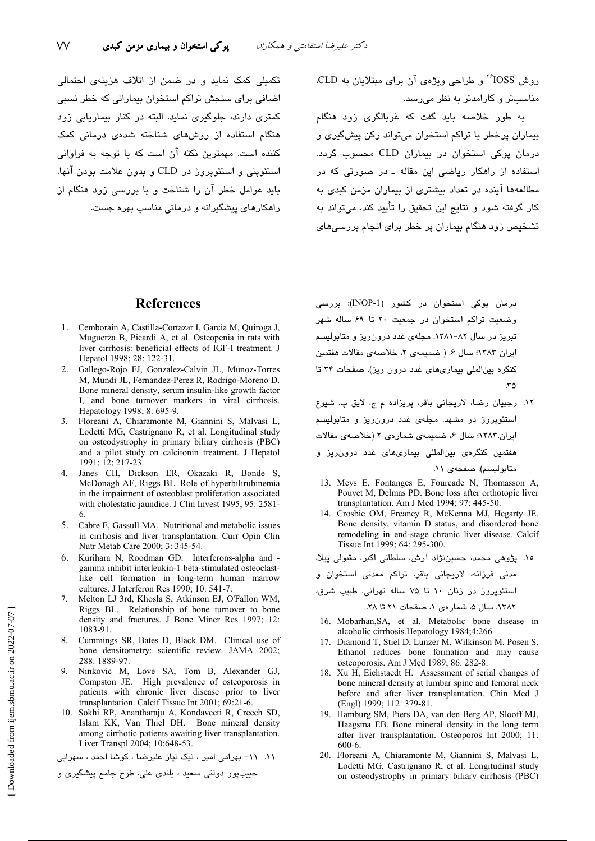تکمیلی کمک نماید و در ضمن از اتلاف هزینهی احتمالی اضافی برای سنجش تراکم استخوان بیمارانی که خطر نسبی کمتری دارند، جلوگیری نماید. البته در کنار بیماریابی زود هنگام استفاده از روشهای شناخته شدهی درمانی کمک کننده است. مهمترین نکته آن است که با توجه به فراوانی استئويني و استئويروز در CLD و بدون علامت بودن آنها، باید عوامل خطر آن را شناخت و با بررسی زود هنگام از راهکارهای پیشگیرانه و درمانی مناسب بهره جست. روش IOSS<sup>\*</sup> و طراحی ویژهی آن برای مبتلایان به CLD. مناسبتر و کارامدتر به نظر می رسد.

به طور خلاصه باید گفت که غربالگری زود هنگام بیماران پرخطر با تراکم استخوان میتواند رکن پیشگیری و درمان پوکی استخوان در بیماران CLD محسوب گردد. استفاده از راهکار ریاضی این مقاله ـ در صورتی که در مطالعهها آینده در تعداد بیشتری از بیماران مزمن کبدی به کار گرفته شود و نتایج این تحقیق را تأیید کند، میتواند به تشخیص زود هنگام بیماران پر خطر برای انجام بررسی های

# **References**

- 1. Cemborain A, Castilla-Cortazar I, Garcia M, Quiroga J, Muguerza B, Picardi A, et al. Osteopenia in rats with liver cirrhosis: beneficial effects of IGF-I treatment. J Hepatol 1998; 28: 122-31.
- 2. Gallego-Rojo FJ, Gonzalez-Calvin JL, Munoz-Torres M, Mundi JL, Fernandez-Perez R, Rodrigo-Moreno D. Bone mineral density, serum insulin-like growth factor I, and bone turnover markers in viral cirrhosis. Hepatology 1998; 8: 695-9.
- 3. Floreani A, Chiaramonte M, Giannini S, Malvasi L, Lodetti MG, Castrignano R, et al. Longitudinal study on osteodystrophy in primary biliary cirrhosis (PBC) and a pilot study on calcitonin treatment. J Hepatol 1991; 12; 217-23.
- 4. Janes CH, Dickson ER, Okazaki R, Bonde S, McDonagh AF, Riggs BL. Role of hyperbilirubinemia in the impairment of osteoblast proliferation associated with cholestatic jaundice. J Clin Invest 1995; 95: 2581-
- 5. Cabre E, Gassull MA. Nutritional and metabolic issues in cirrhosis and liver transplantation. Curr Opin Clin Nutr Metab Care 2000; 3: 345-54.
- Kurihara N, Roodman GD. Interferons-alpha and -6 gamma inhibit interleukin-1 beta-stimulated osteoclastlike cell formation in long-term human marrow cultures. J Interferon Res 1990; 10: 541-7.
- Melton LJ 3rd, Khosla S, Atkinson EJ, O'Fallon WM, Riggs BL. Relationship of bone turnover to bone density and fractures. J Bone Miner Res 1997: 12: 1083-91.
- Cummings SR, Bates D, Black DM. Clinical use of 8. bone densitometry: scientific review. JAMA 2002; 288: 1889-97.
- $\mathbf{Q}$ Ninkovic M, Love SA, Tom B, Alexander GJ, Compston JE. High prevalence of osteoporosis in patients with chronic liver disease prior to liver transplantation. Calcif Tissue Int 2001; 69:21-6.
- 10. Sokhi RP, Anantharaju A, Kondaveeti R, Creech SD, Islam KK, Van Thiel DH. Bone mineral density among cirrhotic patients awaiting liver transplantation. Liver Transpl 2004; 10:648-53.

١١. ١١- بهرامی امير ، نيک نياز عليرضا ، كوشا احمد ، سهرابی

حبيبپور دولتي سعيد ، بلندي علي. طرح جامع پيشگيري و

درمان پوکی استخوان در کشور (INOP-1): بررسی وضعیت تراکم استخوان در جمعیت ۲۰ تا ۶۹ ساله شهر تبریز در سال ۸۲–۱۳۸۱. مجلهی غدد درون ریز و متابولیسم ايران ١٣٨٣؛ سال ۶. (ضميمهى ٢، خلاصهى مقالات هفتمين کنگره بین الملی بیماری های غدد درون ریز). صفحات ۳۴ تا  $\mathfrak{r}\Delta$ 

- ١٢. رجبيان رضا، لاريجاني باقر، پريزاده م ج، لايق پ. شيوع استئوپروز در مشهد. مجلهی غدد درون ریز و متابولیسم ایران.۱۳۸۳؛ سال ۶، ضمیمهی شمارهی ۲ (خلاصهی مقالات هفتمین کنگره*ی* بینالمللی بیماریهای غدد درون٫یز و متابوليسم): صفحهى ١١.
- 13. Meys E, Fontanges E, Fourcade N, Thomasson A, Pouyet M, Delmas PD. Bone loss after orthotopic liver transplantation. Am J Med 1994; 97: 445-50.
- 14. Crosbie OM, Freaney R, McKenna MJ, Hegarty JE. Bone density, vitamin D status, and disordered bone remodeling in end-stage chronic liver disease. Calcif Tissue Int 1999; 64: 295-300.

١٥. پژوهي محمد، حسيننژاد آرش، سلطاني اکبر، مقبولي پيلا،

مدنی فرزانه، لاریجانی باقر. تراکم معدنی استخوان و

استئویروز در زنان ۱۰ تا ۷۵ ساله تهرانی. طبیب شرق،

١٣٨٢. سال ۵، شمار دی ١، صفحات ٢١ تا ٢٨.

- 16. Mobarhan, SA, et al. Metabolic bone disease in alcoholic cirrhosis. Hepatology 1984;4:266
- 17. Diamond T, Stiel D, Lunzer M, Wilkinson M, Posen S. Ethanol reduces bone formation and may cause osteoporosis. Am J Med 1989; 86: 282-8.
- 18. Xu H, Eichstaedt H. Assessment of serial changes of bone mineral density at lumbar spine and femoral neck before and after liver transplantation. Chin Med J (Engl) 1999; 112: 379-81.
- 19. Hamburg SM, Piers DA, van den Berg AP, Slooff MJ, Haagsma EB. Bone mineral density in the long term after liver transplantation. Osteoporos Int 2000; 11: 600-6.
- 20. Floreani A, Chiaramonte M, Giannini S, Malvasi L, Lodetti MG, Castrignano R, et al. Longitudinal study on osteodystrophy in primary biliary cirrhosis (PBC)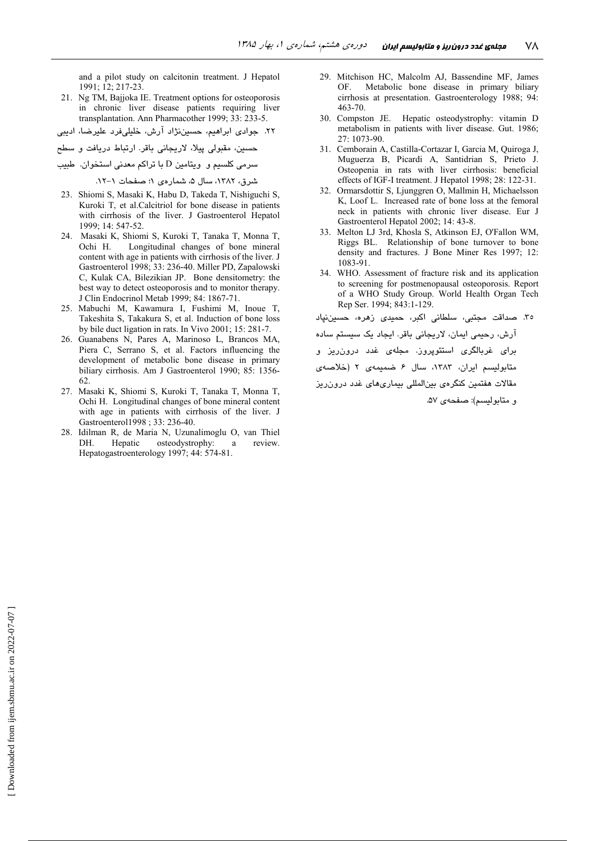and a pilot study on calcitonin treatment. J Hepatol 1991: 12: 217-23.

- 21. Ng TM, Bajjoka IE. Treatment options for osteoporosis in chronic liver disease patients requiring liver transplantation. Ann Pharmacother 1999; 33: 233-5.
- ۲۲. جوادی ابراهیم، حسیننژاد آرش، خلیلیفرد علیرضا، ادیبی
- ۔<br>حسین، مقبولی پیلا، لاریجانی باقر. ارتباط دریافت و سطح
- سرمی کلسیم و ویتامین D با تراکم معدنی استخوان. طبیب

شرق، ١٣٨٢، سال ۵، شمار دي ١؛ صفحات ١-١٢.

- 23. Shiomi S, Masaki K, Habu D, Takeda T, Nishiguchi S, Kuroki T, et al. Calcitriol for bone disease in patients with cirrhosis of the liver. J Gastroenterol Hepatol 1999; 14: 547-52.
- 24. Masaki K, Shiomi S, Kuroki T, Tanaka T, Monna T, Ochi H. Longitudinal changes of bone mineral content with age in patients with cirrhosis of the liver. J Gastroenterol 1998; 33: 236-40. Miller PD, Zapalowski C, Kulak CA, Bilezikian JP. Bone densitometry: the best way to detect osteoporosis and to monitor therapy. J Clin Endocrinol Metab 1999; 84: 1867-71.
- 25. Mabuchi M, Kawamura I, Fushimi M, Inoue T, Takeshita S, Takakura S, et al. Induction of bone loss by bile duct ligation in rats. In Vivo 2001; 15: 281-7.
- 26. Guanabens N. Pares A. Marinoso L. Brancos MA. Piera C, Serrano S, et al. Factors influencing the development of metabolic bone disease in primary biliary cirrhosis. Am J Gastroenterol 1990; 85: 1356-62.
- 27. Masaki K, Shiomi S, Kuroki T, Tanaka T, Monna T, Ochi H. Longitudinal changes of bone mineral content with age in patients with cirrhosis of the liver. J Gastroenterol1998 ; 33: 236-40.
- 28. Idilman R, de Maria N, Uzunalimoglu O, van Thiel Hepatic osteodystrophy: review. DH. <sub>a</sub> Hepatogastroenterology 1997; 44: 574-81.
- 29. Mitchison HC, Malcolm AJ, Bassendine MF, James Metabolic bone disease in primary biliary **OF** cirrhosis at presentation. Gastroenterology 1988; 94:  $463 - 70$ .
- 30. Compston JE. Hepatic osteodystrophy: vitamin D metabolism in patients with liver disease. Gut. 1986;  $27 \cdot 1073 - 90$
- 31. Cemborain A. Castilla-Cortazar I. Garcia M. Ouiroga J. Muguerza B, Picardi A, Santidrian S, Prieto J. Osteopenia in rats with liver cirrhosis: beneficial effects of IGF-I treatment. J Hepatol 1998; 28: 122-31.
- $32<sup>°</sup>$ Ormarsdottir S, Ljunggren O, Mallmin H, Michaelsson K, Loof L. Increased rate of bone loss at the femoral neck in patients with chronic liver disease. Eur J Gastroenterol Hepatol 2002; 14: 43-8.
- 33. Melton LJ 3rd, Khosla S, Atkinson EJ, O'Fallon WM, Riggs BL. Relationship of bone turnover to bone density and fractures. J Bone Miner Res 1997; 12: 1083-91.
- 34. WHO. Assessment of fracture risk and its application to screening for postmenopausal osteoporosis. Report of a WHO Study Group. World Health Organ Tech Rep Ser. 1994; 843:1-129.

٣٥. صداقت مجتبى، سلطانى اكبر، حميدى زهره، حسين نپاد آرش، رحیمی ایمان، لاریجانی باقر. ایجاد یک سیستم ساده برای غربالگری استئوپروز. مجلهی غدد درون٫ریز و متابولیسم ایران، ١٣٨٣، سال ۶ ضمیمهی ٢ (خلاصهی مقالات هفتمین کنگرهی بینالمللی بیماریهای غدد درون ریز و متابولسيم): صفحهي ۵۷.